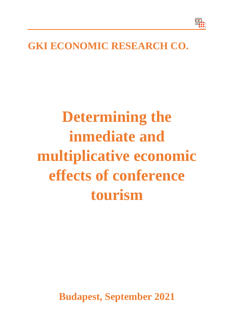

## **GKI ECONOMIC RESEARCH CO.**

## **Determining the inmediate and multiplicative economic effects of conference tourism**

**Budapest, September 2021**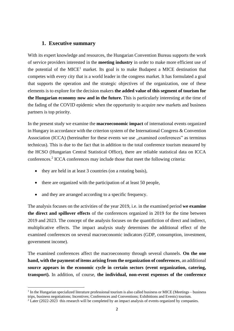## **1. Executive summary**

With its expert knowledge and resources, the Hungarian Convention Bureau supports the work of service providers interested in the **meeting industry** in order to make more efficient use of the potential of the MICE<sup>1</sup> market. Its goal is to make Budapest a MICE destination that competes with every city that is a world leader in the congress market. It has formulated a goal that supports the operation and the strategic objectives of the organization, one of these elements is to explore for the decision makers **the added value of this segment of tourism for the Hungarian economy now and in the future.** This is particularly interesting at the time of the fading of the COVID epidemic when the opportunity to acquire new markets and business partners is top priority.

In the present study we examine the **macroeconomic impact** of international events organized in Hungary in accordance with the criterion system of the International Congress & Convention Association (ICCA) (hereinafter for these events we use "examined conferences" as terminus technicus). This is due to the fact that in addition to the total conference tourism measured by the HCSO (Hungarian Central Statistical Office), there are reliable statistical data on ICCA conferences.<sup>2</sup> ICCA conferences may include those that meet the following criteria:

- they are held in at least 3 countries (on a rotating basis),
- there are organized with the participation of at least 50 people,
- and they are arranged according to a specific frequency.

The analysis focuses on the activities of the year 2019, i.e. in the examined period **we examine the direct and spillover effects** of the conferences organized in 2019 for the time between 2019 and 2023. The concept of the analysis focuses on the quantifiction of direct and indirect, multiplicative effects. The impact analysis study determines the additional effect of the examined conferences on several macroeconomic indicators (GDP, consumption, investment, government income).

The examined conferences affect the macroeconomy through several channels. **On the one hand, with the payment of items arising from the organization of conferences**, an additional **source appears in the economic cycle in certain sectors (event organization, catering, transport).** In addition, of course, **the individual, non-event expenses of the conference** 

<sup>&</sup>lt;sup>1</sup> In the Hungarian specialized literature professional tourism is also called business or MICE (Meetings – business trips, business negotiations; Incentives; Conferences and Conventions; Exhibitions and Events) tourism.

<sup>&</sup>lt;sup>2</sup> Later (2022-2023 this research will be completed by an impact analysis of events organized by companies.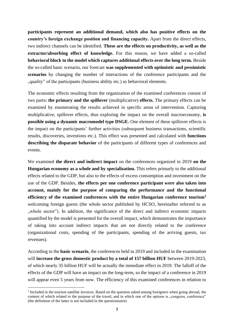**participants represent an additional demand, which also has positive effects on the country's foreign exchange position and financing capacity.** Apart from the direct effects, two indirect channels can be identified. **These are the effects on productivity, as well as the extractor/absorbing effect of knowledge.** For this reason, we have added a so-called **behavioral block to the model which captures additional effects over the long term.** Beside the so-called basic scenario, our forecast **was supplemented with optimistic and pessimistic scenarios** by changing the number of interactions of the conference participants and the ", quality" of the participants (business ability etc.) as behavioral elements.

The economic effects resulting from the organization of the examined conferences consist of two parts**: the primary and the spillover** (multiplicative) **effects.** The primary effects can be examined by enumerating the results achieved in specific areas of intervention. Capturing multiplicative, spillover effects, thus exploring the impact on the overall macroeconomy, **is possible using a dynamic macromodel type DSGE.** One element of these spillover effects is the impact on the participants' further activities (subsequent business transactions, scientific results, discoveries, inventions etc.). This effect was presented and calculated with **functions**  describing the disparate behavior of the participants of different types of conferences and events.

We examined **the direct and indirect impact** on the conferences organized in 2019 **on the Hungarian economy as a whole and by specialization.** This refers primarly to the additional effects related to the GDP, but also to the effects of excess consumption and investment on the use of the GDP. Besides, **the effects per one conference participant were also taken into account, mainly for the purpose of comparing the performance and the functional efficiency of the examined conferences with the entire Hungarian conference tourism<sup>3</sup>** welcoming foreign guests (the whole sector published by HCSO, hereinafter referred to as ", whole sector"). In addition, the significance of the direct and indirect economic impacts quantified by the model is presented for the overall impact, which demonstrates the importance of taking into account indirect impacts that are not directly related to the conference (organizational costs, spending of the participants, spending of the arriving guests, tax revenues).

According to the **basic scenario**, the conferences held in 2019 and included in the examination will **increase the gross domestic product by a total of 157 billion HUF** between 2019-2023, of which nearly 35 billion HUF will be actually the inmediate effect in 2019. The falloff of the effects of the GDP will have an impact on the long-term, so the impact of a conference in 2019 will appear even 5 years from now. The efficiency of this examined conferences in relation to

<sup>&</sup>lt;sup>3</sup> Included in the tourism satellite invoices. Based on the question asked among foreigners when going abroad, the content of which related to the purpose of the travel, and in which one of the options is "congress, conference" (the definition of the latter is not included in the questionnaire).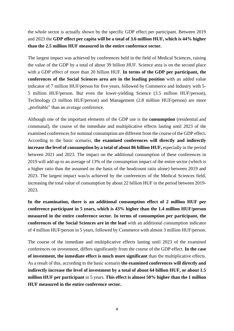the whole sector is actually shown by the specific GDP effect per participant. Between 2019 and 2023 the **GDP effect per capita will be a total of 3.6 million HUF, which is 44% higher than the 2.5 million HUF measured in the entire conference sector.**

The largest impact was achieved by conferences held in the field of Medical Sciences, raising the value of the GDP by a total of about 39 billion HUF. Science area is on the second place with a GDP effect of more than 20 billion HUF. **In terms of the GDP per participant, the conferences of the Social Sciences area are in the leading position** with an added value indicator of 7 million HUF/person for five years, followed by Commerce and Industry with 5- 5 million HUF/person. But even the lower-yielding Science (3.5 million HUF/person), Technology (3 million HUF/person) and Management (2.8 million HUF/person) are more "profitable" than an average conference.

Although one of the important elements of the GDP use is the **consumption** (residential and communal), the course of the inmediate and multiplicative effects lasting until 2023 of the examined conferences for nominal consumption are different from the course of the GDP effect. According to the basic scenario, **the examined conferences will directly and indirectly increase the level of consumption by a total of about 86 billion HUF,** especially in the period between 2021 and 2023. The impact on the additional consumption of these conferences in 2019 will add up to an average of 13% of the consumption impact of the entire sector (which is a higher ratio than the assumed on the basis of the headcount ratio alone) between 2019 and 2023. The largest impact was/is achieved by the conferences of the Medical Sciences field, increasing the total value of consumption by about 22 billion HUF in the period between 2019- 2023.

**In the examination, there is an additional consumption effect of 2 million HUF per conference participant in 5 years, which is 43% higher than the 1.4 million HUF/person measured in the entire conference sector. In terms of consumption per participant, the conferences of the Social Sciences are in the lead** with an additional consumption indicator of 4 million HUF/person in 5 years, followed by Commerce with almost 3 million HUF/person.

The course of the inmediate and multiplicative effects lasting until 2023 of the examined conferences on investment, differs significantly from the course of the GDP effect. **In the case of investment, the inmediate effect is much more significant** than the multiplicative effects. As a result of this, according to the basic scenario **the examined conferences will directly and indirectly increase the level of investment by a total of about 64 billion HUF, or about 1.5 million HUF per participant** in 5 years. **This effect is almost 50% higher than the 1 million HUF measured in the entire conference sector.**